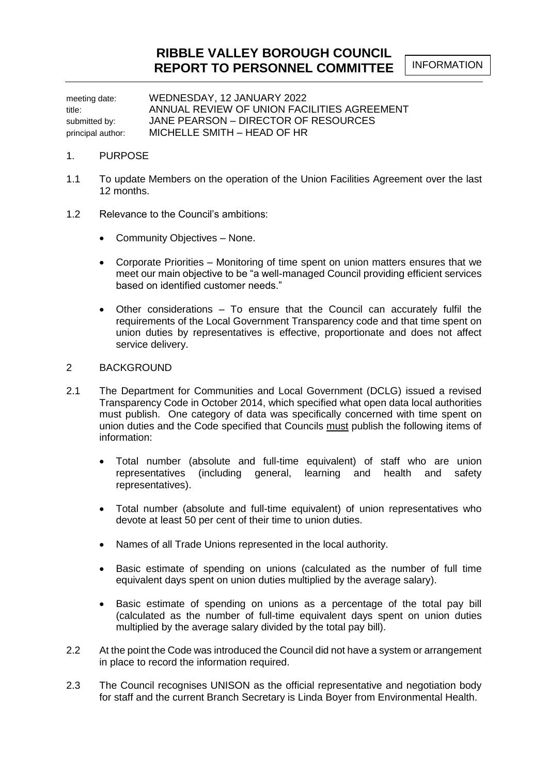meeting date: WEDNESDAY, 12 JANUARY 2022 title: ANNUAL REVIEW OF UNION FACILITIES AGREEMENT submitted by: **JANE PEARSON – DIRECTOR OF RESOURCES** principal author: MICHELLE SMITH – HEAD OF HR

#### 1. PURPOSE

- 1.1 To update Members on the operation of the Union Facilities Agreement over the last 12 months.
- 1.2 Relevance to the Council's ambitions:
	- Community Objectives None.
	- Corporate Priorities Monitoring of time spent on union matters ensures that we meet our main objective to be "a well-managed Council providing efficient services based on identified customer needs."
	- Other considerations To ensure that the Council can accurately fulfil the requirements of the Local Government Transparency code and that time spent on union duties by representatives is effective, proportionate and does not affect service delivery.

#### 2 BACKGROUND

- 2.1 The Department for Communities and Local Government (DCLG) issued a revised Transparency Code in October 2014, which specified what open data local authorities must publish. One category of data was specifically concerned with time spent on union duties and the Code specified that Councils must publish the following items of information:
	- Total number (absolute and full-time equivalent) of staff who are union representatives (including general, learning and health and safety representatives).
	- Total number (absolute and full-time equivalent) of union representatives who devote at least 50 per cent of their time to union duties.
	- Names of all Trade Unions represented in the local authority.
	- Basic estimate of spending on unions (calculated as the number of full time equivalent days spent on union duties multiplied by the average salary).
	- Basic estimate of spending on unions as a percentage of the total pay bill (calculated as the number of full-time equivalent days spent on union duties multiplied by the average salary divided by the total pay bill).
- 2.2 At the point the Code was introduced the Council did not have a system or arrangement in place to record the information required.
- 2.3 The Council recognises UNISON as the official representative and negotiation body for staff and the current Branch Secretary is Linda Boyer from Environmental Health.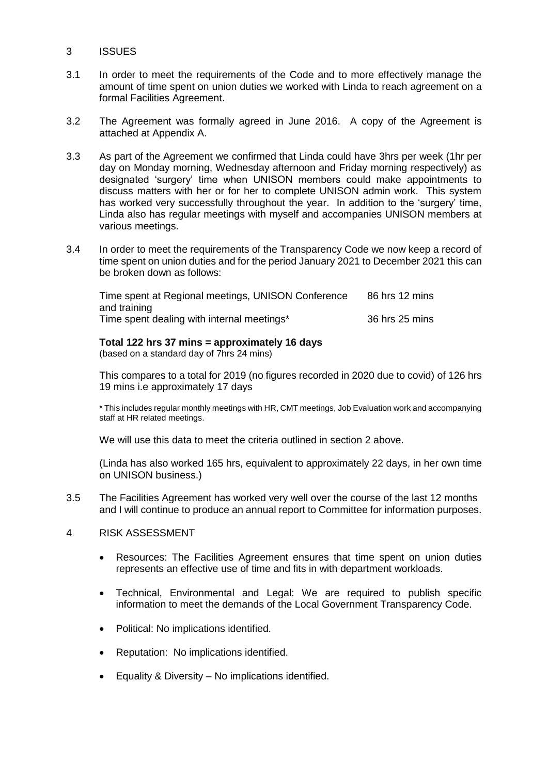#### 3 ISSUES

- 3.1 In order to meet the requirements of the Code and to more effectively manage the amount of time spent on union duties we worked with Linda to reach agreement on a formal Facilities Agreement.
- 3.2 The Agreement was formally agreed in June 2016. A copy of the Agreement is attached at Appendix A.
- 3.3 As part of the Agreement we confirmed that Linda could have 3hrs per week (1hr per day on Monday morning, Wednesday afternoon and Friday morning respectively) as designated 'surgery' time when UNISON members could make appointments to discuss matters with her or for her to complete UNISON admin work. This system has worked very successfully throughout the year. In addition to the 'surgery' time, Linda also has regular meetings with myself and accompanies UNISON members at various meetings.
- 3.4 In order to meet the requirements of the Transparency Code we now keep a record of time spent on union duties and for the period January 2021 to December 2021 this can be broken down as follows:

| Time spent at Regional meetings, UNISON Conference | 86 hrs 12 mins |
|----------------------------------------------------|----------------|
| and training                                       |                |
| Time spent dealing with internal meetings*         | 36 hrs 25 mins |

#### **Total 122 hrs 37 mins = approximately 16 days**

(based on a standard day of 7hrs 24 mins)

This compares to a total for 2019 (no figures recorded in 2020 due to covid) of 126 hrs 19 mins i.e approximately 17 days

\* This includes regular monthly meetings with HR, CMT meetings, Job Evaluation work and accompanying staff at HR related meetings.

We will use this data to meet the criteria outlined in section 2 above.

(Linda has also worked 165 hrs, equivalent to approximately 22 days, in her own time on UNISON business.)

- 3.5 The Facilities Agreement has worked very well over the course of the last 12 months and I will continue to produce an annual report to Committee for information purposes.
- 4 RISK ASSESSMENT
	- Resources: The Facilities Agreement ensures that time spent on union duties represents an effective use of time and fits in with department workloads.
	- Technical, Environmental and Legal: We are required to publish specific information to meet the demands of the Local Government Transparency Code.
	- Political: No implications identified.
	- Reputation: No implications identified.
	- Equality & Diversity No implications identified.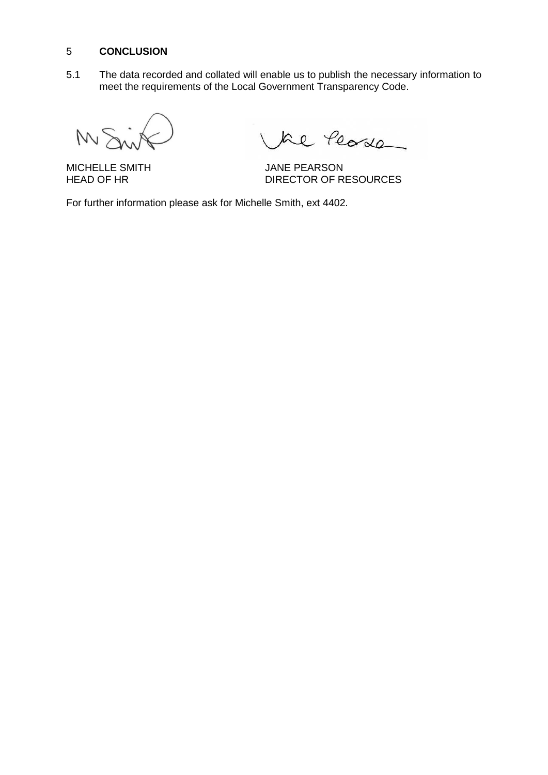#### 5 **CONCLUSION**

5.1 The data recorded and collated will enable us to publish the necessary information to meet the requirements of the Local Government Transparency Code.

M<sup>S</sup>

Le Peode

MICHELLE SMITH JANE PEARSON<br>HEAD OF HR DIRECTOR OF RESOURCES

For further information please ask for Michelle Smith, ext 4402.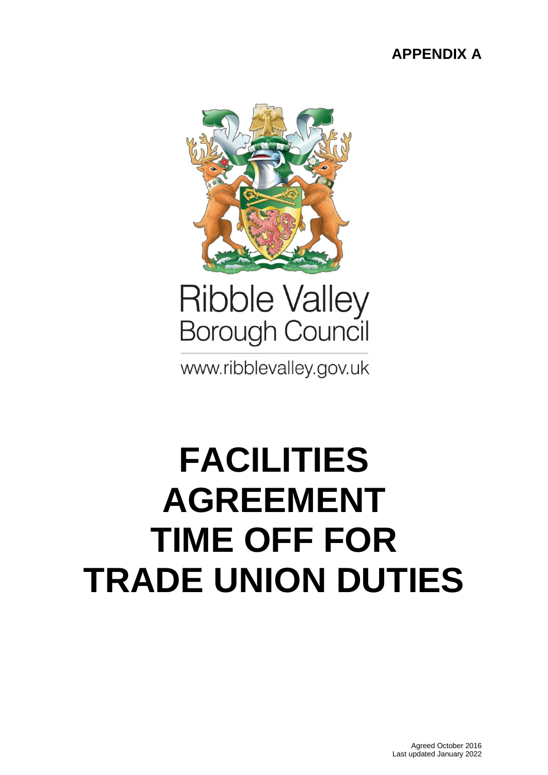### **APPENDIX A**



## **Ribble Valley Borough Council**

www.ribblevalley.gov.uk

# **FACILITIES AGREEMENT TIME OFF FOR TRADE UNION DUTIES**

Agreed October 2016 Last updated January 2022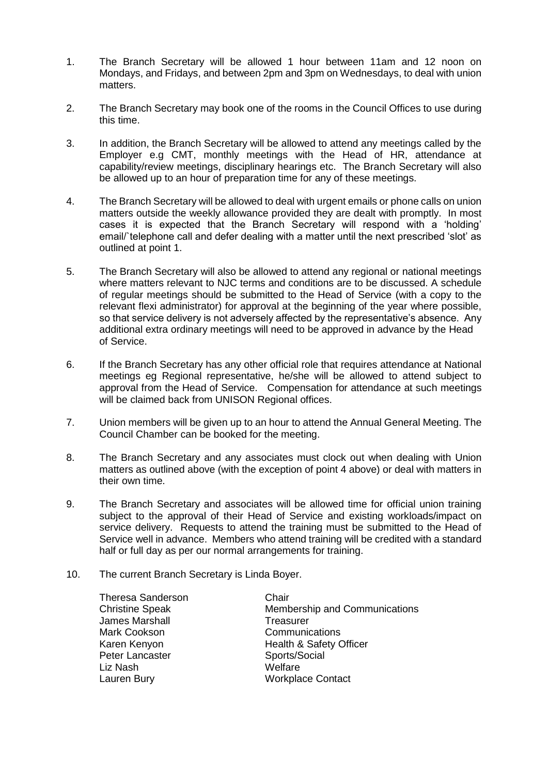- 1. The Branch Secretary will be allowed 1 hour between 11am and 12 noon on Mondays, and Fridays, and between 2pm and 3pm on Wednesdays, to deal with union matters.
- 2. The Branch Secretary may book one of the rooms in the Council Offices to use during this time.
- 3. In addition, the Branch Secretary will be allowed to attend any meetings called by the Employer e.g CMT, monthly meetings with the Head of HR, attendance at capability/review meetings, disciplinary hearings etc. The Branch Secretary will also be allowed up to an hour of preparation time for any of these meetings.
- 4. The Branch Secretary will be allowed to deal with urgent emails or phone calls on union matters outside the weekly allowance provided they are dealt with promptly. In most cases it is expected that the Branch Secretary will respond with a 'holding' email/`telephone call and defer dealing with a matter until the next prescribed 'slot' as outlined at point 1.
- 5. The Branch Secretary will also be allowed to attend any regional or national meetings where matters relevant to NJC terms and conditions are to be discussed. A schedule of regular meetings should be submitted to the Head of Service (with a copy to the relevant flexi administrator) for approval at the beginning of the year where possible, so that service delivery is not adversely affected by the representative's absence. Any additional extra ordinary meetings will need to be approved in advance by the Head of Service.
- 6. If the Branch Secretary has any other official role that requires attendance at National meetings eg Regional representative, he/she will be allowed to attend subject to approval from the Head of Service. Compensation for attendance at such meetings will be claimed back from UNISON Regional offices.
- 7. Union members will be given up to an hour to attend the Annual General Meeting. The Council Chamber can be booked for the meeting.
- 8. The Branch Secretary and any associates must clock out when dealing with Union matters as outlined above (with the exception of point 4 above) or deal with matters in their own time.
- 9. The Branch Secretary and associates will be allowed time for official union training subject to the approval of their Head of Service and existing workloads/impact on service delivery. Requests to attend the training must be submitted to the Head of Service well in advance. Members who attend training will be credited with a standard half or full day as per our normal arrangements for training.
- 10. The current Branch Secretary is Linda Boyer.

Theresa Sanderson Chair James Marshall **Treasurer** Mark Cookson **Communications** Karen Kenyon **Health & Safety Officer** Peter Lancaster Sports/Social Liz Nash Welfare Lauren Bury **Music Contact** Workplace Contact

Christine Speak Membership and Communications